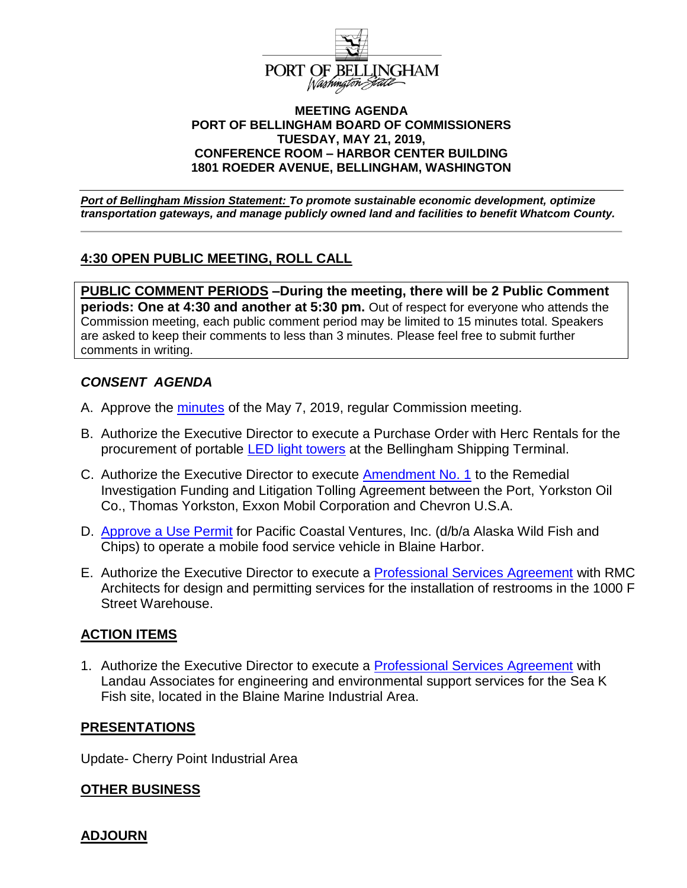

#### **MEETING AGENDA PORT OF BELLINGHAM BOARD OF COMMISSIONERS TUESDAY, MAY 21, 2019, CONFERENCE ROOM – HARBOR CENTER BUILDING 1801 ROEDER AVENUE, BELLINGHAM, WASHINGTON**

*Port of Bellingham Mission Statement: To promote sustainable economic development, optimize transportation gateways, and manage publicly owned land and facilities to benefit Whatcom County.*

# **4:30 OPEN PUBLIC MEETING, ROLL CALL**

**PUBLIC COMMENT PERIODS –During the meeting, there will be 2 Public Comment periods: One at 4:30 and another at 5:30 pm.** Out of respect for everyone who attends the Commission meeting, each public comment period may be limited to 15 minutes total. Speakers are asked to keep their comments to less than 3 minutes. Please feel free to submit further comments in writing.

## *CONSENT AGENDA*

- A. Approve the [minutes](https://www.portofbellingham.com/DocumentCenter/View/8524/CA-Item-A) of the May 7, 2019, regular Commission meeting.
- B. Authorize the Executive Director to execute a Purchase Order with Herc Rentals for the procurement of portable [LED light towers](https://www.portofbellingham.com/DocumentCenter/View/8525/CA-Item-B) at the Bellingham Shipping Terminal.
- C. Authorize the Executive Director to execute [Amendment No. 1](https://www.portofbellingham.com/DocumentCenter/View/8526/CA-Item-C) to the Remedial Investigation Funding and Litigation Tolling Agreement between the Port, Yorkston Oil Co., Thomas Yorkston, Exxon Mobil Corporation and Chevron U.S.A.
- D. [Approve a Use Permit](https://www.portofbellingham.com/DocumentCenter/View/8527/CA-Item-D) for Pacific Coastal Ventures, Inc. (d/b/a Alaska Wild Fish and Chips) to operate a mobile food service vehicle in Blaine Harbor.
- E. Authorize the Executive Director to execute a [Professional Services Agreement](https://www.portofbellingham.com/DocumentCenter/View/8528/CA-Item-E) with RMC Architects for design and permitting services for the installation of restrooms in the 1000 F Street Warehouse.

## **ACTION ITEMS**

1. Authorize the Executive Director to execute a [Professional Services Agreement](https://www.portofbellingham.com/DocumentCenter/View/8523/AI-Item-1) with Landau Associates for engineering and environmental support services for the Sea K Fish site, located in the Blaine Marine Industrial Area.

## **PRESENTATIONS**

Update- Cherry Point Industrial Area

## **OTHER BUSINESS**

## **ADJOURN**